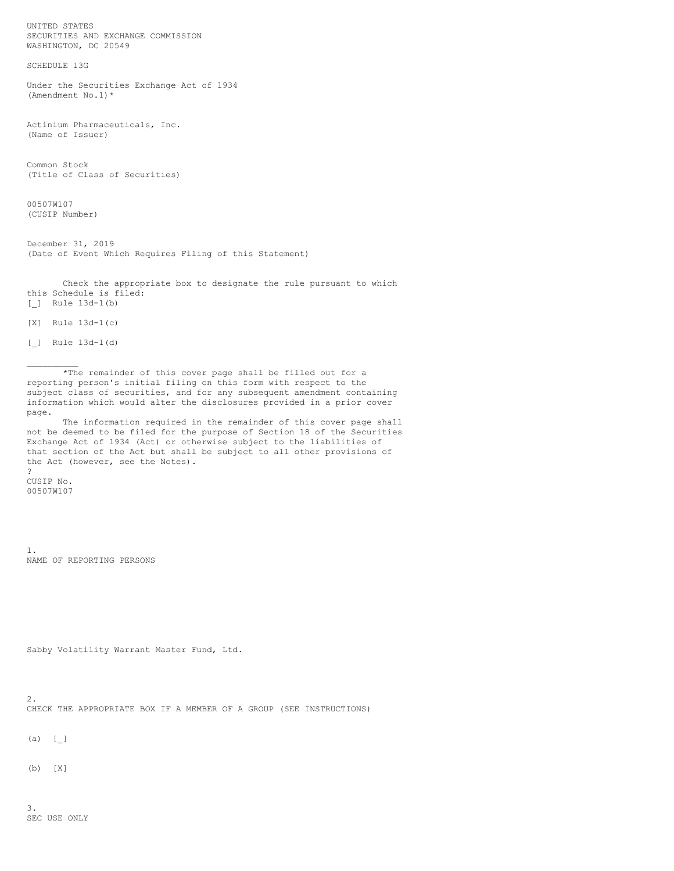UNITED STATES SECURITIES AND EXCHANGE COMMISSION WASHINGTON, DC 20549

SCHEDULE 13G

Under the Securities Exchange Act of 1934 (Amendment No.1)\*

Actinium Pharmaceuticals, Inc. (Name of Issuer)

Common Stock (Title of Class of Securities)

00507W107 (CUSIP Number)

December 31, 2019 (Date of Event Which Requires Filing of this Statement)

Check the appropriate box to designate the rule pursuant to which this Schedule is filed: [\_] Rule 13d-1(b)

[X] Rule 13d-1(c)

[\_] Rule 13d-1(d)

 $\frac{1}{2}$ 

\*The remainder of this cover page shall be filled out for a reporting person's initial filing on this form with respect to the subject class of securities, and for any subsequent amendment containing information which would alter the disclosures provided in a prior cover page.

The information required in the remainder of this cover page shall not be deemed to be filed for the purpose of Section 18 of the Securities Exchange Act of 1934 (Act) or otherwise subject to the liabilities of that section of the Act but shall be subject to all other provisions of the Act (however, see the Notes).

CUSIP No. 00507W107

?

1. NAME OF REPORTING PERSONS

Sabby Volatility Warrant Master Fund, Ltd.

2. CHECK THE APPROPRIATE BOX IF A MEMBER OF A GROUP (SEE INSTRUCTIONS)

 $(a) [$ 

(b) [X]

3. SEC USE ONLY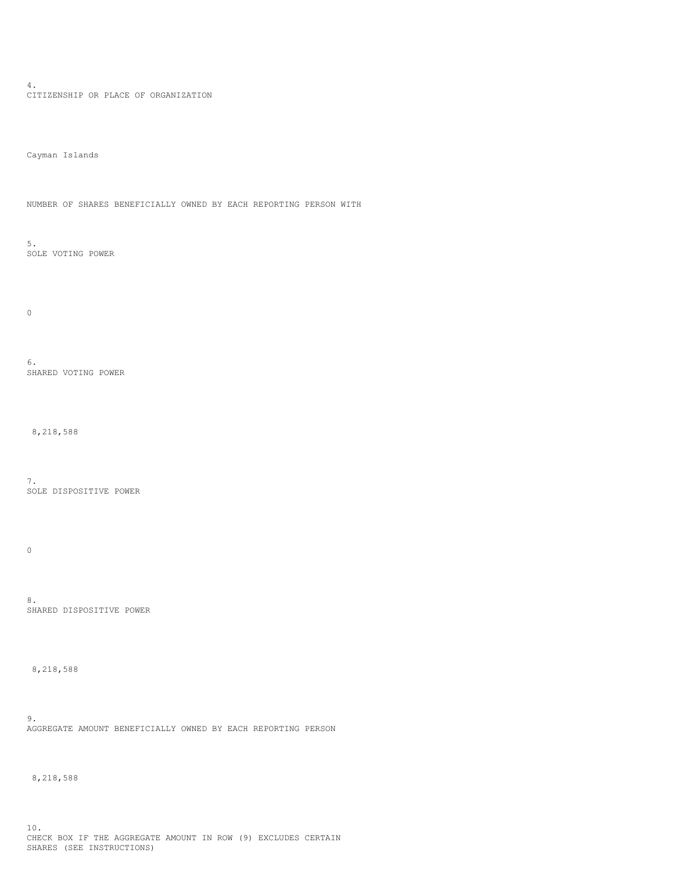4. CITIZENSHIP OR PLACE OF ORGANIZATION

Cayman Islands

NUMBER OF SHARES BENEFICIALLY OWNED BY EACH REPORTING PERSON WITH

5. SOLE VOTING POWER

0

6. SHARED VOTING POWER

8,218,588

7. SOLE DISPOSITIVE POWER

 $\mathbf 0$ 

8. SHARED DISPOSITIVE POWER

8,218,588

9. AGGREGATE AMOUNT BENEFICIALLY OWNED BY EACH REPORTING PERSON

8,218,588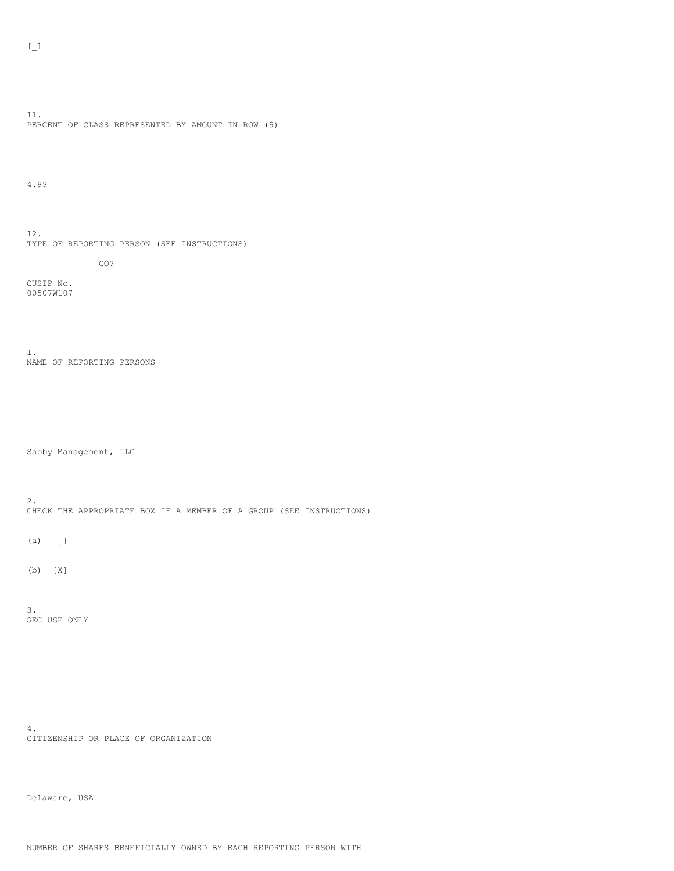11. PERCENT OF CLASS REPRESENTED BY AMOUNT IN ROW (9)

4.99

12. TYPE OF REPORTING PERSON (SEE INSTRUCTIONS)

CO?

CUSIP No. 00507W107

1. NAME OF REPORTING PERSONS

Sabby Management, LLC

2. CHECK THE APPROPRIATE BOX IF A MEMBER OF A GROUP (SEE INSTRUCTIONS)

(a)  $[$   $]$ 

(b) [X]

3. SEC USE ONLY

4. CITIZENSHIP OR PLACE OF ORGANIZATION

Delaware, USA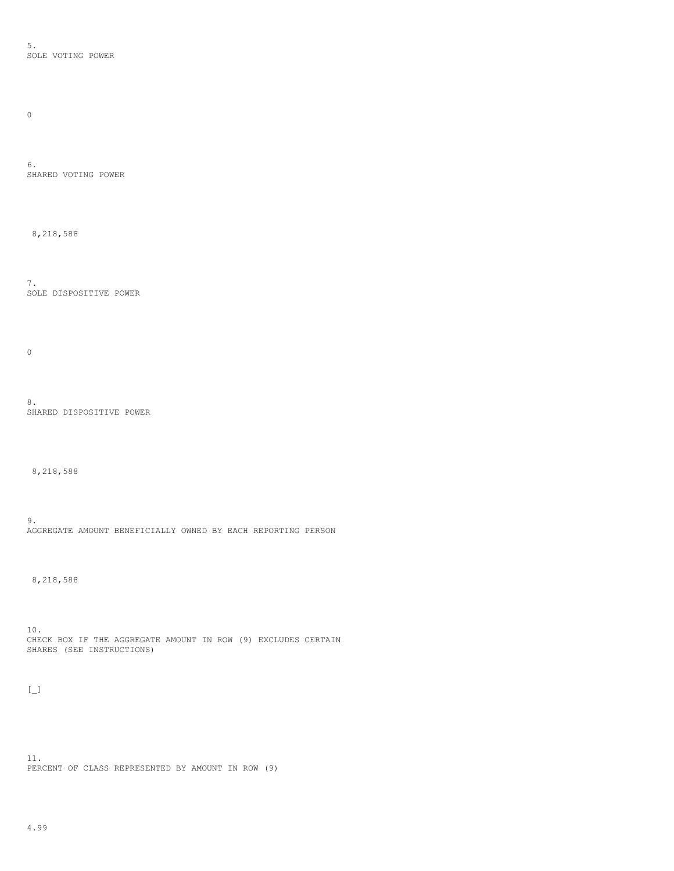5. SOLE VOTING POWER

 $\hbox{O}$ 

6. SHARED VOTING POWER

8,218,588

7. SOLE DISPOSITIVE POWER

 $\mathbf 0$ 

8. SHARED DISPOSITIVE POWER

8,218,588

9. AGGREGATE AMOUNT BENEFICIALLY OWNED BY EACH REPORTING PERSON

8,218,588

10. CHECK BOX IF THE AGGREGATE AMOUNT IN ROW (9) EXCLUDES CERTAIN SHARES (SEE INSTRUCTIONS)

 $\left[\begin{smallmatrix}\phantom{-}1\\1\end{smallmatrix}\right]$ 

11. PERCENT OF CLASS REPRESENTED BY AMOUNT IN ROW (9)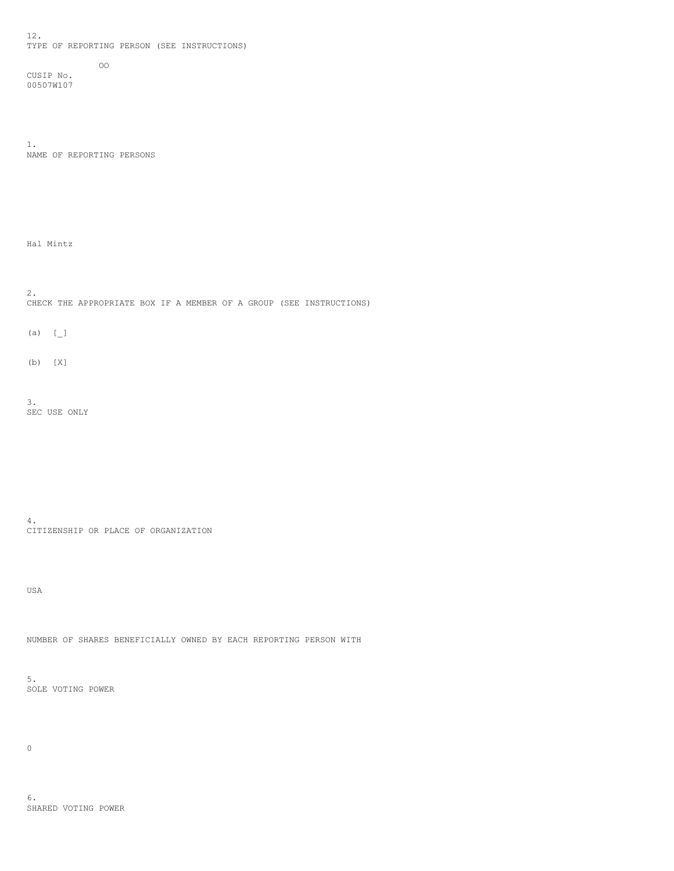12. TYPE OF REPORTING PERSON (SEE INSTRUCTIONS)

CUSIP No. 00507W107

1. NAME OF REPORTING PERSONS

OO

Hal Mintz

2. CHECK THE APPROPRIATE BOX IF A MEMBER OF A GROUP (SEE INSTRUCTIONS)

 $(a)$   $[\ ]$ 

(b) [X]

3. SEC USE ONLY

4. CITIZENSHIP OR PLACE OF ORGANIZATION

USA

NUMBER OF SHARES BENEFICIALLY OWNED BY EACH REPORTING PERSON WITH

5. SOLE VOTING POWER

 $\mathsf{O}$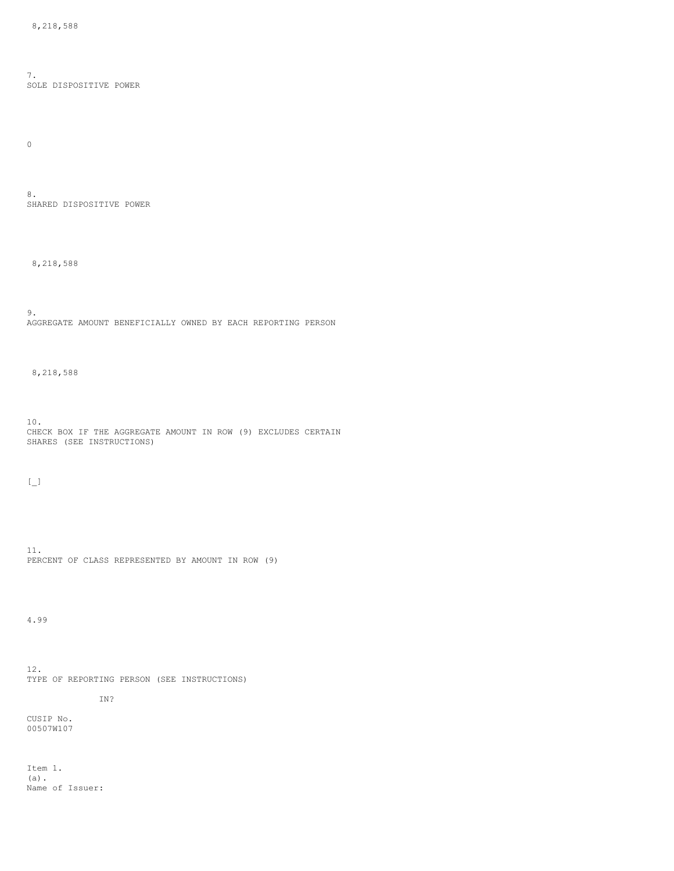7. SOLE DISPOSITIVE POWER

 $\hbox{O}$ 

8. SHARED DISPOSITIVE POWER

8,218,588

9. AGGREGATE AMOUNT BENEFICIALLY OWNED BY EACH REPORTING PERSON

8,218,588

10. CHECK BOX IF THE AGGREGATE AMOUNT IN ROW (9) EXCLUDES CERTAIN SHARES (SEE INSTRUCTIONS)

 $[\underline{\phantom{a}}]$ 

11. PERCENT OF CLASS REPRESENTED BY AMOUNT IN ROW (9)

4.99

12. TYPE OF REPORTING PERSON (SEE INSTRUCTIONS)

IN?

CUSIP No. 00507W107

Item 1. (a). Name of Issuer: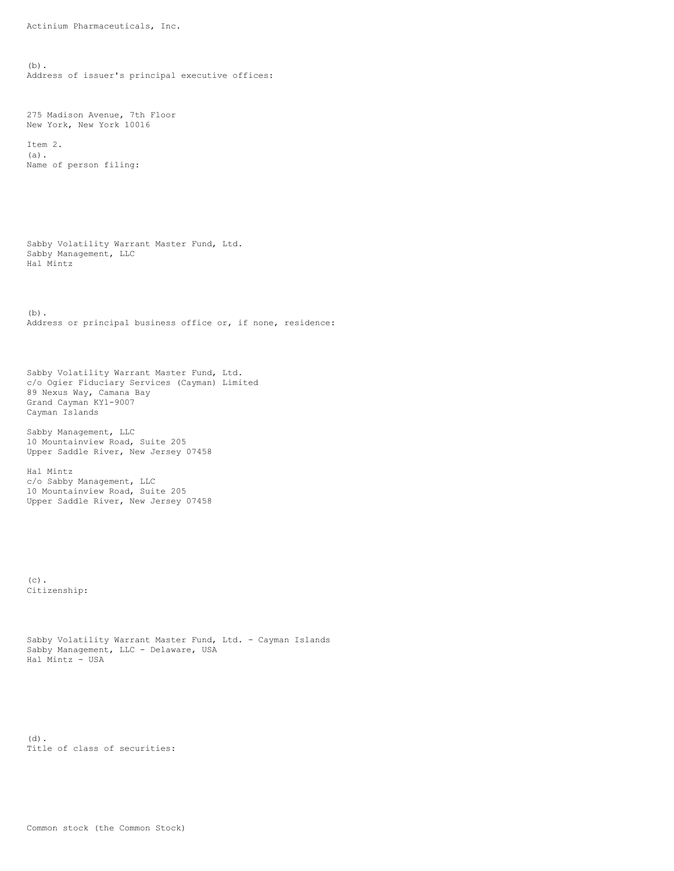Actinium Pharmaceuticals, Inc.

(b). Address of issuer's principal executive offices:

275 Madison Avenue, 7th Floor New York, New York 10016

Item 2. (a). Name of person filing:

Sabby Volatility Warrant Master Fund, Ltd. Sabby Management, LLC Hal Mintz

(b). Address or principal business office or, if none, residence:

Sabby Volatility Warrant Master Fund, Ltd. c/o Ogier Fiduciary Services (Cayman) Limited 89 Nexus Way, Camana Bay Grand Cayman KY1-9007 Cayman Islands

Sabby Management, LLC 10 Mountainview Road, Suite 205 Upper Saddle River, New Jersey 07458

Hal Mintz c/o Sabby Management, LLC 10 Mountainview Road, Suite 205 Upper Saddle River, New Jersey 07458

 $(c)$ . Citizenship:

```
Sabby Volatility Warrant Master Fund, Ltd. - Cayman Islands
Sabby Management, LLC - Delaware, USA
Hal Mintz - USA
```
(d). Title of class of securities: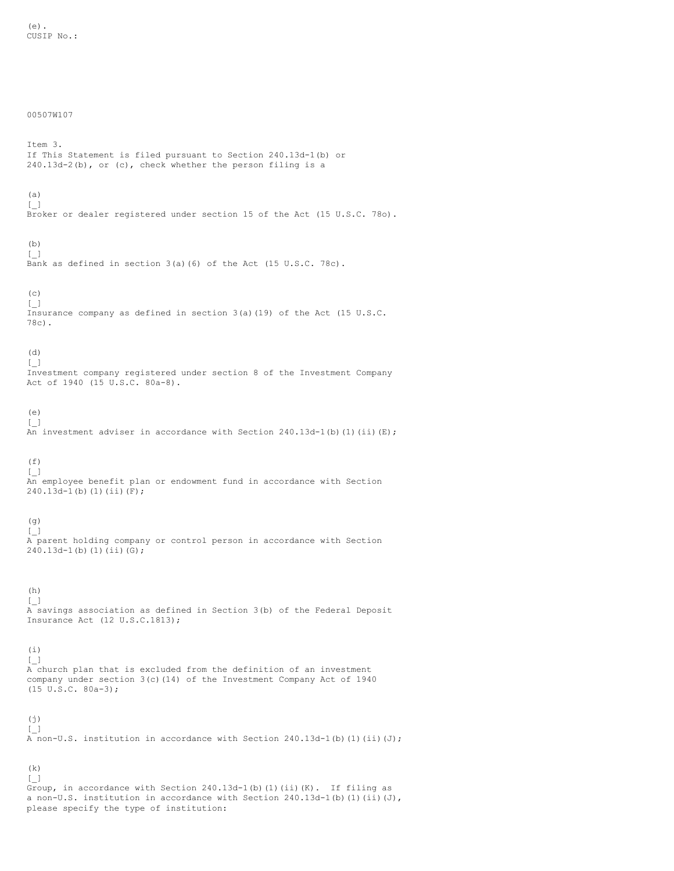## 00507W107

(k)

Item 3. If This Statement is filed pursuant to Section 240.13d-1(b) or 240.13d-2(b), or (c), check whether the person filing is a (a) [\_] Broker or dealer registered under section 15 of the Act (15 U.S.C. 78o). (b)  $\lbrack \ \ \ \lbrack$ Bank as defined in section 3(a)(6) of the Act (15 U.S.C. 78c).  $(c)$ [\_] Insurance company as defined in section 3(a)(19) of the Act (15 U.S.C. 78c). (d)  $[\ ]$ Investment company registered under section 8 of the Investment Company Act of 1940 (15 U.S.C. 80a-8). (e) [\_] An investment adviser in accordance with Section  $240.13d-1$  (b) (1) (ii) (E);  $(f)$ [\_] An employee benefit plan or endowment fund in accordance with Section  $240.13d-1(b)(1)(ii)(F);$ (g)  $\left[\begin{smallmatrix}\end{smallmatrix}\right]$ A parent holding company or control person in accordance with Section 240.13d-1(b)(1)(ii)(G);  $(h)$  $[\ ]$ A savings association as defined in Section 3(b) of the Federal Deposit Insurance Act (12 U.S.C.1813); (i)  $\left[\begin{smallmatrix}\end{smallmatrix}\right]$ A church plan that is excluded from the definition of an investment company under section  $3(c)(14)$  of the Investment Company Act of 1940  $(15 \t{U.S.C. } 80a-3);$ (j)  $[\ ]$ A non-U.S. institution in accordance with Section  $240.13d-1$  (b) (1) (ii)(J);

[\_] Group, in accordance with Section 240.13d-1(b)(1)(ii)(K). If filing as a non-U.S. institution in accordance with Section  $240.13d-1$ (b)(1)(ii)(J), please specify the type of institution: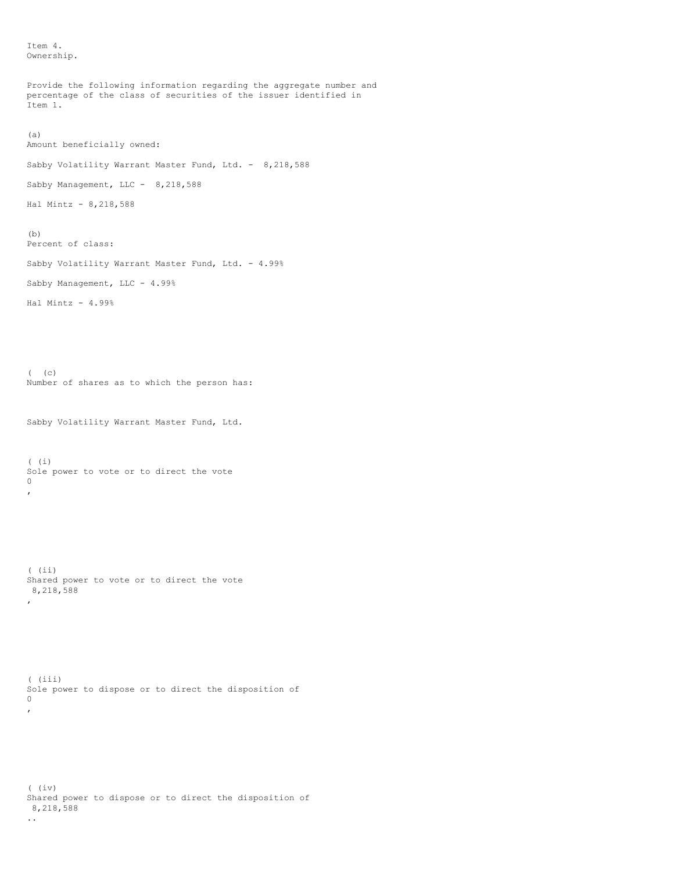Item 4. Ownership.

```
Provide the following information regarding the aggregate number and
percentage of the class of securities of the issuer identified in
Item 1.
(a)
Amount beneficially owned:
Sabby Volatility Warrant Master Fund, Ltd. - 8,218,588
Sabby Management, LLC - 8,218,588
Hal Mintz - 8,218,588
(b)
Percent of class:
Sabby Volatility Warrant Master Fund, Ltd. - 4.99%
Sabby Management, LLC - 4.99%
Hal Mintz - 4.99%
( ( \circ )Number of shares as to which the person has:
Sabby Volatility Warrant Master Fund, Ltd.
( (i)
Sole power to vote or to direct the vote
0
,
( (ii)
Shared power to vote or to direct the vote
8,218,588
,
( (iii)
Sole power to dispose or to direct the disposition of
\Omega,
```
( (iv) Shared power to dispose or to direct the disposition of 8,218,588 ..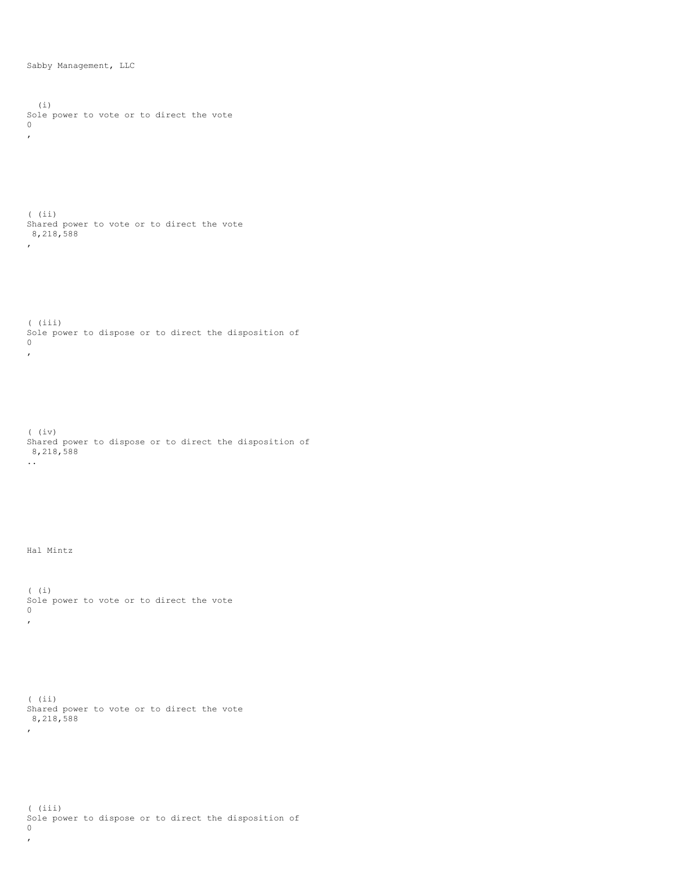Sabby Management, LLC

(i) Sole power to vote or to direct the vote 0 , ( (ii) Shared power to vote or to direct the vote 8,218,588  $\mathbf{r}$ ( (iii) Sole power to dispose or to direct the disposition of 0 , ( (iv) Shared power to dispose or to direct the disposition of 8,218,588 .. Hal Mintz ( (i) Sole power to vote or to direct the vote  $\circ$ , ( (ii) Shared power to vote or to direct the vote 8,218,588  $\epsilon$ 

( (iii) Sole power to dispose or to direct the disposition of 0 ,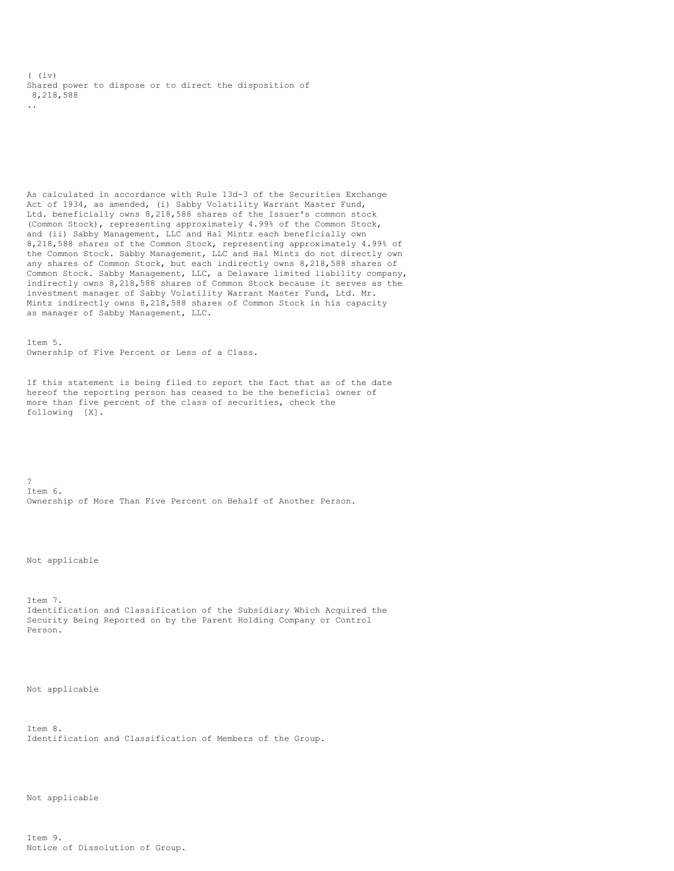( (iv) Shared power to dispose or to direct the disposition of 8,218,588 ..

As calculated in accordance with Rule 13d-3 of the Securities Exchange Act of 1934, as amended, (i) Sabby Volatility Warrant Master Fund, Ltd. beneficially owns 8,218,588 shares of the Issuer's common stock (Common Stock), representing approximately 4.99% of the Common Stock, and (ii) Sabby Management, LLC and Hal Mintz each beneficially own 8,218,588 shares of the Common Stock, representing approximately 4.99% of the Common Stock. Sabby Management, LLC and Hal Mintz do not directly own any shares of Common Stock, but each indirectly owns 8,218,588 shares of Common Stock. Sabby Management, LLC, a Delaware limited liability company, indirectly owns 8,218,588 shares of Common Stock because it serves as the investment manager of Sabby Volatility Warrant Master Fund, Ltd. Mr. Mintz indirectly owns 8,218,588 shares of Common Stock in his capacity as manager of Sabby Management, LLC.

Item 5. Ownership of Five Percent or Less of a Class.

If this statement is being filed to report the fact that as of the date hereof the reporting person has ceased to be the beneficial owner of more than five percent of the class of securities, check the following [X].

? Item 6. Ownership of More Than Five Percent on Behalf of Another Person.

Not applicable

Item 7. Identification and Classification of the Subsidiary Which Acquired the Security Being Reported on by the Parent Holding Company or Control Person.

Not applicable

Item 8. Identification and Classification of Members of the Group.

Not applicable

Item 9. Notice of Dissolution of Group.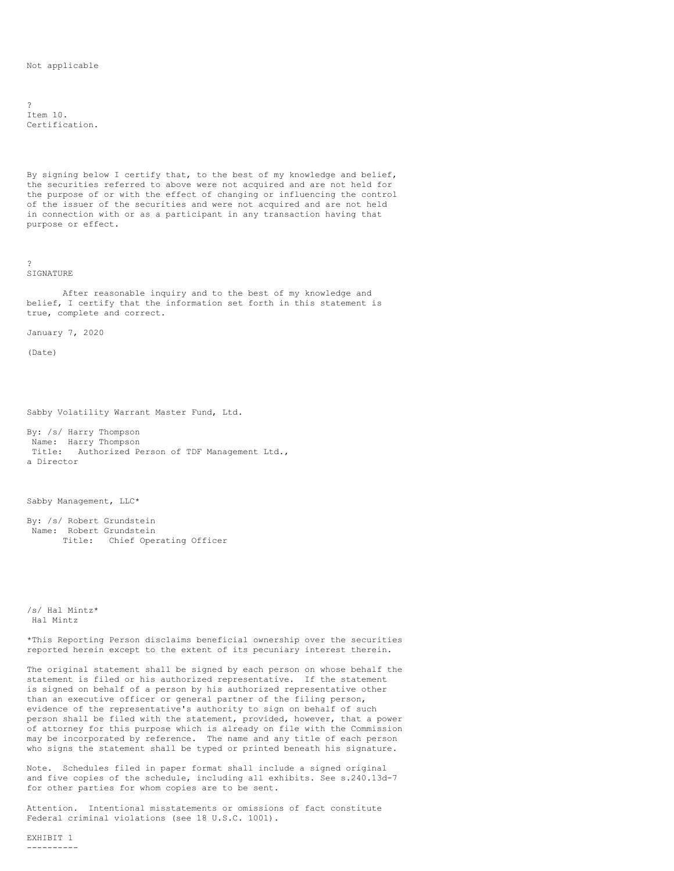Not applicable

?  $T$ tem  $10.$ Certification.

By signing below I certify that, to the best of my knowledge and belief, the securities referred to above were not acquired and are not held for the purpose of or with the effect of changing or influencing the control of the issuer of the securities and were not acquired and are not held in connection with or as a participant in any transaction having that purpose or effect.

? SIGNATURE

After reasonable inquiry and to the best of my knowledge and belief, I certify that the information set forth in this statement is true, complete and correct.

January 7, 2020

(Date)

Sabby Volatility Warrant Master Fund, Ltd.

By: /s/ Harry Thompson Name: Harry Thompson Title: Authorized Person of TDF Management Ltd., a Director

Sabby Management, LLC\*

By: /s/ Robert Grundstein Name: Robert Grundstein Title: Chief Operating Officer

/s/ Hal Mintz\* Hal Mintz

\*This Reporting Person disclaims beneficial ownership over the securities reported herein except to the extent of its pecuniary interest therein.

The original statement shall be signed by each person on whose behalf the statement is filed or his authorized representative. If the statement is signed on behalf of a person by his authorized representative other than an executive officer or general partner of the filing person, evidence of the representative's authority to sign on behalf of such person shall be filed with the statement, provided, however, that a power of attorney for this purpose which is already on file with the Commission may be incorporated by reference. The name and any title of each person who signs the statement shall be typed or printed beneath his signature.

Note. Schedules filed in paper format shall include a signed original and five copies of the schedule, including all exhibits. See s.240.13d-7 for other parties for whom copies are to be sent.

Attention. Intentional misstatements or omissions of fact constitute Federal criminal violations (see 18 U.S.C. 1001).

EXHIBIT 1 ----------